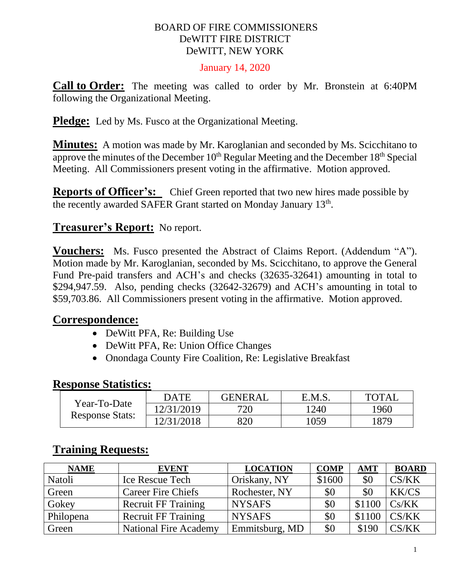#### BOARD OF FIRE COMMISSIONERS DeWITT FIRE DISTRICT DeWITT, NEW YORK

#### January 14, 2020

**Call to Order:** The meeting was called to order by Mr. Bronstein at 6:40PM following the Organizational Meeting.

**Pledge:** Led by Ms. Fusco at the Organizational Meeting.

**Minutes:** A motion was made by Mr. Karoglanian and seconded by Ms. Scicchitano to approve the minutes of the December  $10<sup>th</sup>$  Regular Meeting and the December  $18<sup>th</sup>$  Special Meeting. All Commissioners present voting in the affirmative. Motion approved.

**Reports of Officer's:** Chief Green reported that two new hires made possible by the recently awarded SAFER Grant started on Monday January 13<sup>th</sup>.

### **Treasurer's Report:** No report.

**Vouchers:** Ms. Fusco presented the Abstract of Claims Report. (Addendum "A"). Motion made by Mr. Karoglanian, seconded by Ms. Scicchitano, to approve the General Fund Pre-paid transfers and ACH's and checks (32635-32641) amounting in total to \$294,947.59. Also, pending checks (32642-32679) and ACH's amounting in total to \$59,703.86. All Commissioners present voting in the affirmative. Motion approved.

#### **Correspondence:**

- DeWitt PFA, Re: Building Use
- DeWitt PFA, Re: Union Office Changes
- Onondaga County Fire Coalition, Re: Legislative Breakfast

### **Response Statistics:**

| Year-To-Date<br><b>Response Stats:</b> | <b>DATE</b> | <b>GENERAL</b> | E.M.S. | <b>TOTAI</b> |
|----------------------------------------|-------------|----------------|--------|--------------|
|                                        | 12/31/2019  | 720            | 1240   | 1960         |
|                                        | 12/31/2018  | 820            | 1059   | 1879         |

### **Training Requests:**

| <b>NAME</b> | <b>EVENT</b>                 | <b>LOCATION</b> | <b>COMP</b> | <b>AMT</b> | <b>BOARD</b> |
|-------------|------------------------------|-----------------|-------------|------------|--------------|
| Natoli      | Ice Rescue Tech              | Oriskany, NY    | \$1600      | \$0        | CS/KK        |
| Green       | <b>Career Fire Chiefs</b>    | Rochester, NY   | \$0         | \$0        | <b>KK/CS</b> |
| Gokey       | <b>Recruit FF Training</b>   | <b>NYSAFS</b>   | \$0         | \$1100     | Cs/KK        |
| Philopena   | <b>Recruit FF Training</b>   | <b>NYSAFS</b>   | \$0         | \$1100     | CS/KK        |
| Green       | <b>National Fire Academy</b> | Emmitsburg, MD  | \$0         | \$190      | CS/KK        |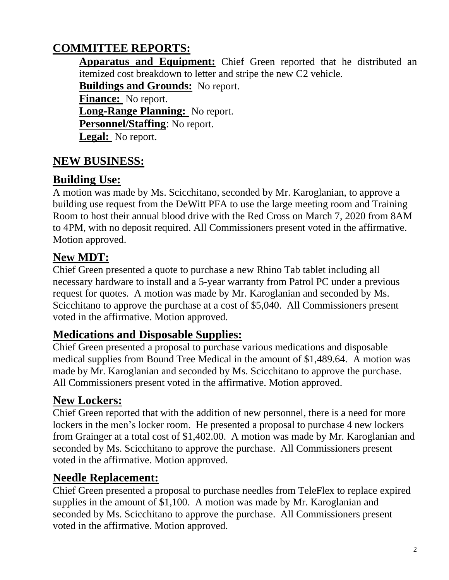# **COMMITTEE REPORTS:**

**Apparatus and Equipment:** Chief Green reported that he distributed an itemized cost breakdown to letter and stripe the new C2 vehicle.

**Buildings and Grounds:** No report.

**Finance:** No report.

**Long-Range Planning:** No report.

**Personnel/Staffing**: No report.

**Legal:** No report.

# **NEW BUSINESS:**

# **Building Use:**

A motion was made by Ms. Scicchitano, seconded by Mr. Karoglanian, to approve a building use request from the DeWitt PFA to use the large meeting room and Training Room to host their annual blood drive with the Red Cross on March 7, 2020 from 8AM to 4PM, with no deposit required. All Commissioners present voted in the affirmative. Motion approved.

# **New MDT:**

Chief Green presented a quote to purchase a new Rhino Tab tablet including all necessary hardware to install and a 5-year warranty from Patrol PC under a previous request for quotes. A motion was made by Mr. Karoglanian and seconded by Ms. Scicchitano to approve the purchase at a cost of \$5,040. All Commissioners present voted in the affirmative. Motion approved.

# **Medications and Disposable Supplies:**

Chief Green presented a proposal to purchase various medications and disposable medical supplies from Bound Tree Medical in the amount of \$1,489.64. A motion was made by Mr. Karoglanian and seconded by Ms. Scicchitano to approve the purchase. All Commissioners present voted in the affirmative. Motion approved.

# **New Lockers:**

Chief Green reported that with the addition of new personnel, there is a need for more lockers in the men's locker room. He presented a proposal to purchase 4 new lockers from Grainger at a total cost of \$1,402.00. A motion was made by Mr. Karoglanian and seconded by Ms. Scicchitano to approve the purchase. All Commissioners present voted in the affirmative. Motion approved.

# **Needle Replacement:**

Chief Green presented a proposal to purchase needles from TeleFlex to replace expired supplies in the amount of \$1,100. A motion was made by Mr. Karoglanian and seconded by Ms. Scicchitano to approve the purchase. All Commissioners present voted in the affirmative. Motion approved.